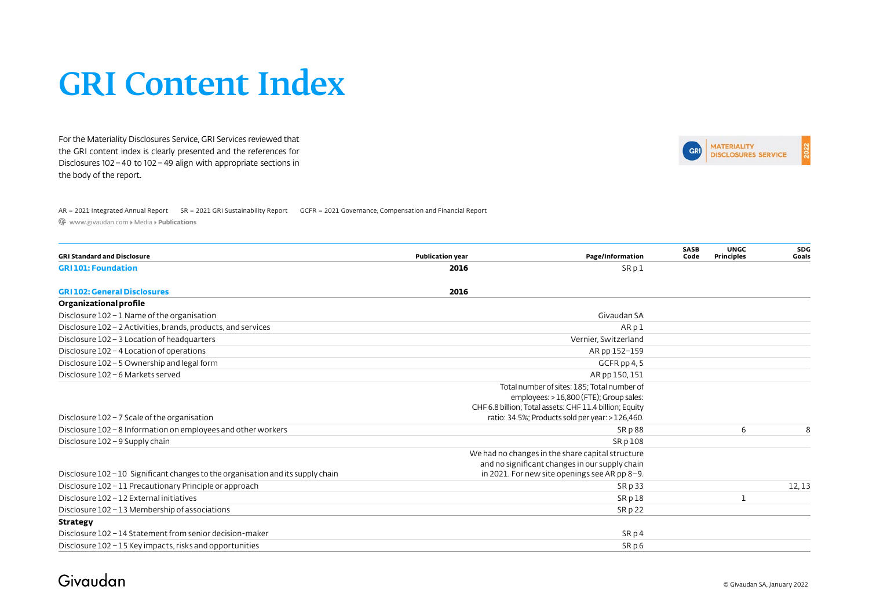For the Materiality Disclosures Service, GRI Services reviewed that the GRI content index is clearly presented and the references for Disclosures 102– 40 to 102 – 49 align with appropriate sections in the body of the report.



AR = 2021 Integrated Annual Report SR = 2021 GRI Sustainability Report GCFR [= 2021 Governance, Compensation and Financial Report](https://www.givaudan.com/media/corporate-publications?keyword=&im_givaudan_publication_year=&im_givaudan_category=386) 

[www.givaudan.com ▸ Media ▸](https://www.givaudan.com/media/corporate-publications) **Publications**

| <b>GRI Standard and Disclosure</b>                                               | <b>Publication year</b> | Page/Information                                                                                                                                                                                      | SASB<br>Code | <b>UNGC</b><br>Principles | <b>SDG</b><br>Goals |
|----------------------------------------------------------------------------------|-------------------------|-------------------------------------------------------------------------------------------------------------------------------------------------------------------------------------------------------|--------------|---------------------------|---------------------|
| <b>GRI101: Foundation</b>                                                        | 2016                    | SRpl                                                                                                                                                                                                  |              |                           |                     |
| <b>GRI 102: General Disclosures</b>                                              | 2016                    |                                                                                                                                                                                                       |              |                           |                     |
| Organizational profile                                                           |                         |                                                                                                                                                                                                       |              |                           |                     |
| Disclosure 102 - 1 Name of the organisation                                      |                         | Givaudan SA                                                                                                                                                                                           |              |                           |                     |
| Disclosure 102 - 2 Activities, brands, products, and services                    |                         | ARpl                                                                                                                                                                                                  |              |                           |                     |
| Disclosure 102 - 3 Location of headquarters                                      |                         | Vernier, Switzerland                                                                                                                                                                                  |              |                           |                     |
| Disclosure 102 - 4 Location of operations                                        |                         | AR pp 152-159                                                                                                                                                                                         |              |                           |                     |
| Disclosure 102 - 5 Ownership and legal form                                      |                         | GCFR pp 4, 5                                                                                                                                                                                          |              |                           |                     |
| Disclosure 102 - 6 Markets served                                                |                         | AR pp 150, 151                                                                                                                                                                                        |              |                           |                     |
| Disclosure $102 - 7$ Scale of the organisation                                   |                         | Total number of sites: 185; Total number of<br>employees: > 16,800 (FTE); Group sales:<br>CHF 6.8 billion; Total assets: CHF 11.4 billion; Equity<br>ratio: 34.5%; Products sold per year: > 126,460. |              |                           |                     |
| Disclosure 102 - 8 Information on employees and other workers                    |                         | SRp88                                                                                                                                                                                                 |              | 6                         |                     |
| Disclosure 102 - 9 Supply chain                                                  |                         | SR p 108                                                                                                                                                                                              |              |                           |                     |
| Disclosure 102 - 10 Significant changes to the organisation and its supply chain |                         | We had no changes in the share capital structure<br>and no significant changes in our supply chain<br>in 2021. For new site openings see AR pp 8-9.                                                   |              |                           |                     |
| Disclosure 102 - 11 Precautionary Principle or approach                          |                         | SR <sub>p</sub> 33                                                                                                                                                                                    |              |                           | 12, 13              |
| Disclosure 102 - 12 External initiatives                                         |                         | SRp18                                                                                                                                                                                                 |              |                           |                     |
| Disclosure 102 - 13 Membership of associations                                   |                         | SR p 22                                                                                                                                                                                               |              |                           |                     |
| <b>Strategy</b>                                                                  |                         |                                                                                                                                                                                                       |              |                           |                     |
| Disclosure 102 - 14 Statement from senior decision-maker                         |                         | SR <sub>p</sub> 4                                                                                                                                                                                     |              |                           |                     |
| Disclosure 102 – 15 Key impacts, risks and opportunities                         |                         | SR <sub>D</sub> 6                                                                                                                                                                                     |              |                           |                     |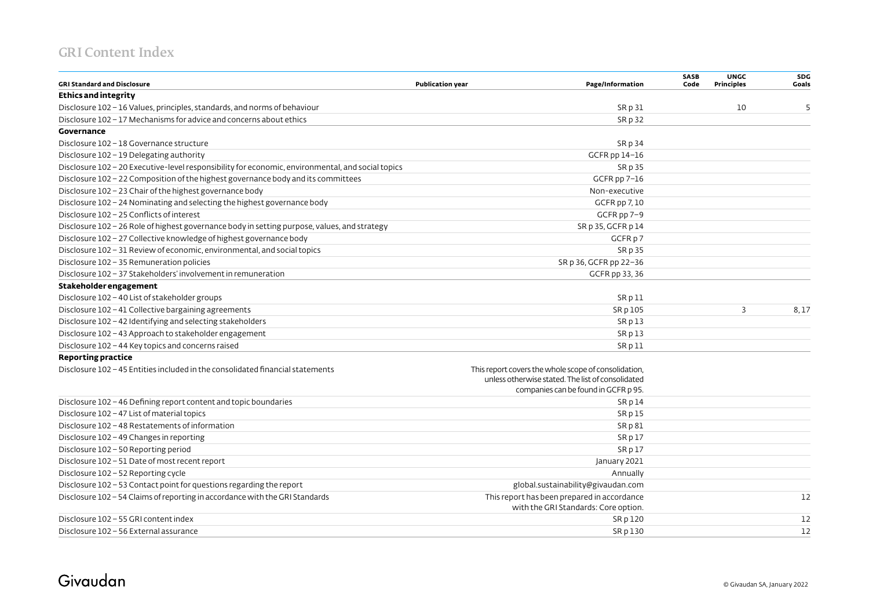| <b>GRI Standard and Disclosure</b>                                                                | <b>Publication year</b><br>Page/Information                                                                                                       | SASB<br>Code | <b>UNGC</b><br><b>Principles</b> | SDG<br>Goals |
|---------------------------------------------------------------------------------------------------|---------------------------------------------------------------------------------------------------------------------------------------------------|--------------|----------------------------------|--------------|
| Ethics and integrity                                                                              |                                                                                                                                                   |              |                                  |              |
| Disclosure 102 - 16 Values, principles, standards, and norms of behaviour                         | SR p 31                                                                                                                                           |              | 10                               | 5            |
| Disclosure 102 - 17 Mechanisms for advice and concerns about ethics                               | <b>SRp32</b>                                                                                                                                      |              |                                  |              |
| Governance                                                                                        |                                                                                                                                                   |              |                                  |              |
| Disclosure 102 - 18 Governance structure                                                          | SR p 34                                                                                                                                           |              |                                  |              |
| Disclosure 102 - 19 Delegating authority                                                          | GCFR pp 14-16                                                                                                                                     |              |                                  |              |
| Disclosure 102 - 20 Executive-level responsibility for economic, environmental, and social topics | SR p 35                                                                                                                                           |              |                                  |              |
| Disclosure 102 - 22 Composition of the highest governance body and its committees                 | GCFR pp 7-16                                                                                                                                      |              |                                  |              |
| Disclosure 102 - 23 Chair of the highest governance body                                          | Non-executive                                                                                                                                     |              |                                  |              |
| Disclosure 102 - 24 Nominating and selecting the highest governance body                          | GCFR pp 7, 10                                                                                                                                     |              |                                  |              |
| Disclosure 102 - 25 Conflicts of interest                                                         | GCFR pp 7-9                                                                                                                                       |              |                                  |              |
| Disclosure 102 - 26 Role of highest governance body in setting purpose, values, and strategy      | SR p 35, GCFR p 14                                                                                                                                |              |                                  |              |
| Disclosure 102 - 27 Collective knowledge of highest governance body                               | GCFR p 7                                                                                                                                          |              |                                  |              |
| Disclosure 102 - 31 Review of economic, environmental, and social topics                          | SR p 35                                                                                                                                           |              |                                  |              |
| Disclosure 102 - 35 Remuneration policies                                                         | SR p 36, GCFR pp 22-36                                                                                                                            |              |                                  |              |
| Disclosure 102 - 37 Stakeholders' involvement in remuneration                                     | GCFR pp 33, 36                                                                                                                                    |              |                                  |              |
| Stakeholder engagement                                                                            |                                                                                                                                                   |              |                                  |              |
| Disclosure 102 - 40 List of stakeholder groups                                                    | SRp11                                                                                                                                             |              |                                  |              |
| Disclosure 102 - 41 Collective bargaining agreements                                              | SR p 105                                                                                                                                          |              | 3                                | 8,17         |
| Disclosure 102 - 42 Identifying and selecting stakeholders                                        | SRp13                                                                                                                                             |              |                                  |              |
| Disclosure 102 - 43 Approach to stakeholder engagement                                            | SR p13                                                                                                                                            |              |                                  |              |
| Disclosure 102 - 44 Key topics and concerns raised                                                | SR p 11                                                                                                                                           |              |                                  |              |
| <b>Reporting practice</b>                                                                         |                                                                                                                                                   |              |                                  |              |
| Disclosure 102 - 45 Entities included in the consolidated financial statements                    | This report covers the whole scope of consolidation,<br>unless otherwise stated. The list of consolidated<br>companies can be found in GCFR p 95. |              |                                  |              |
| Disclosure 102 - 46 Defining report content and topic boundaries                                  | SR p 14                                                                                                                                           |              |                                  |              |
| Disclosure 102 - 47 List of material topics                                                       | SRp15                                                                                                                                             |              |                                  |              |
| Disclosure 102 - 48 Restatements of information                                                   | SRp81                                                                                                                                             |              |                                  |              |
| Disclosure 102 - 49 Changes in reporting                                                          | SRp17                                                                                                                                             |              |                                  |              |
| Disclosure 102 - 50 Reporting period                                                              | SRp17                                                                                                                                             |              |                                  |              |
| Disclosure 102 - 51 Date of most recent report                                                    | January 2021                                                                                                                                      |              |                                  |              |
| Disclosure 102 - 52 Reporting cycle                                                               | Annually                                                                                                                                          |              |                                  |              |
| Disclosure 102 - 53 Contact point for questions regarding the report                              | global.sustainability@givaudan.com                                                                                                                |              |                                  |              |
| Disclosure 102 - 54 Claims of reporting in accordance with the GRI Standards                      | This report has been prepared in accordance<br>with the GRI Standards: Core option.                                                               |              |                                  | 12           |
| Disclosure 102 - 55 GRI content index                                                             | SR p 120                                                                                                                                          |              |                                  | 12           |
| Disclosure 102 - 56 External assurance                                                            | SR p 130                                                                                                                                          |              |                                  | 12           |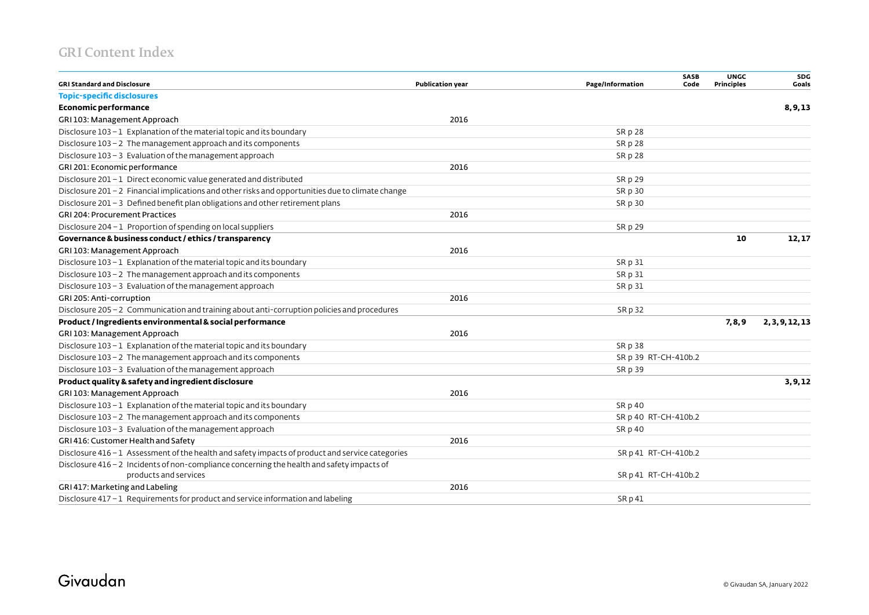| <b>GRI Standard and Disclosure</b>                                                                | <b>Publication year</b> | <b>SASB</b><br>Page/Information<br>Code | <b>UNGC</b><br><b>Principles</b> | SDG<br>Goals    |
|---------------------------------------------------------------------------------------------------|-------------------------|-----------------------------------------|----------------------------------|-----------------|
| <b>Topic-specific disclosures</b>                                                                 |                         |                                         |                                  |                 |
| <b>Economic performance</b>                                                                       |                         |                                         |                                  | 8, 9, 13        |
| GRI 103: Management Approach                                                                      | 2016                    |                                         |                                  |                 |
| Disclosure 103-1 Explanation of the material topic and its boundary                               |                         | SR p 28                                 |                                  |                 |
| Disclosure $103 - 2$ The management approach and its components                                   |                         | SR p 28                                 |                                  |                 |
| Disclosure $103 - 3$ Evaluation of the management approach                                        |                         | SR p 28                                 |                                  |                 |
| GRI 201: Economic performance                                                                     | 2016                    |                                         |                                  |                 |
| Disclosure 201 - 1 Direct economic value generated and distributed                                |                         | SR p 29                                 |                                  |                 |
| Disclosure 201 - 2 Financial implications and other risks and opportunities due to climate change |                         | SR p 30                                 |                                  |                 |
| Disclosure $201 - 3$ Defined benefit plan obligations and other retirement plans                  |                         | SR p 30                                 |                                  |                 |
| <b>GRI 204: Procurement Practices</b>                                                             | 2016                    |                                         |                                  |                 |
| Disclosure 204 - 1 Proportion of spending on local suppliers                                      |                         | SR p 29                                 |                                  |                 |
| Governance & business conduct / ethics / transparency                                             |                         |                                         | 10                               | 12,17           |
| GRI 103: Management Approach                                                                      | 2016                    |                                         |                                  |                 |
| Disclosure $103 - 1$ Explanation of the material topic and its boundary                           |                         | SR p 31                                 |                                  |                 |
| Disclosure 103 - 2 The management approach and its components                                     |                         | SR p 31                                 |                                  |                 |
| Disclosure 103 - 3 Evaluation of the management approach                                          |                         | SR p 31                                 |                                  |                 |
| GRI 205: Anti-corruption                                                                          | 2016                    |                                         |                                  |                 |
| Disclosure 205 - 2 Communication and training about anti-corruption policies and procedures       |                         | SR p 32                                 |                                  |                 |
| Product / Ingredients environmental & social performance                                          |                         |                                         | 7,8,9                            | 2, 3, 9, 12, 13 |
| GRI 103: Management Approach                                                                      | 2016                    |                                         |                                  |                 |
| Disclosure $103 - 1$ Explanation of the material topic and its boundary                           |                         | SR p 38                                 |                                  |                 |
| Disclosure $103 - 2$ The management approach and its components                                   |                         | SR p 39 RT-CH-410b.2                    |                                  |                 |
| Disclosure 103 - 3 Evaluation of the management approach                                          |                         | SR p 39                                 |                                  |                 |
| Product quality & safety and ingredient disclosure                                                |                         |                                         |                                  | 3, 9, 12        |
| GRI 103: Management Approach                                                                      | 2016                    |                                         |                                  |                 |
| Disclosure 103-1 Explanation of the material topic and its boundary                               |                         | SR p 40                                 |                                  |                 |
| Disclosure $103 - 2$ The management approach and its components                                   |                         | SR p 40 RT-CH-410b.2                    |                                  |                 |
| Disclosure 103 - 3 Evaluation of the management approach                                          |                         | SR p 40                                 |                                  |                 |
| GRI 416: Customer Health and Safety                                                               | 2016                    |                                         |                                  |                 |
| Disclosure 416 - 1 Assessment of the health and safety impacts of product and service categories  |                         | SR p 41 RT-CH-410b.2                    |                                  |                 |
| Disclosure 416 - 2 Incidents of non-compliance concerning the health and safety impacts of        |                         |                                         |                                  |                 |
| products and services                                                                             |                         | SR p 41 RT-CH-410b.2                    |                                  |                 |
| GRI 417: Marketing and Labeling                                                                   | 2016                    |                                         |                                  |                 |
| Disclosure 417 - 1 Requirements for product and service information and labeling                  |                         | SRp41                                   |                                  |                 |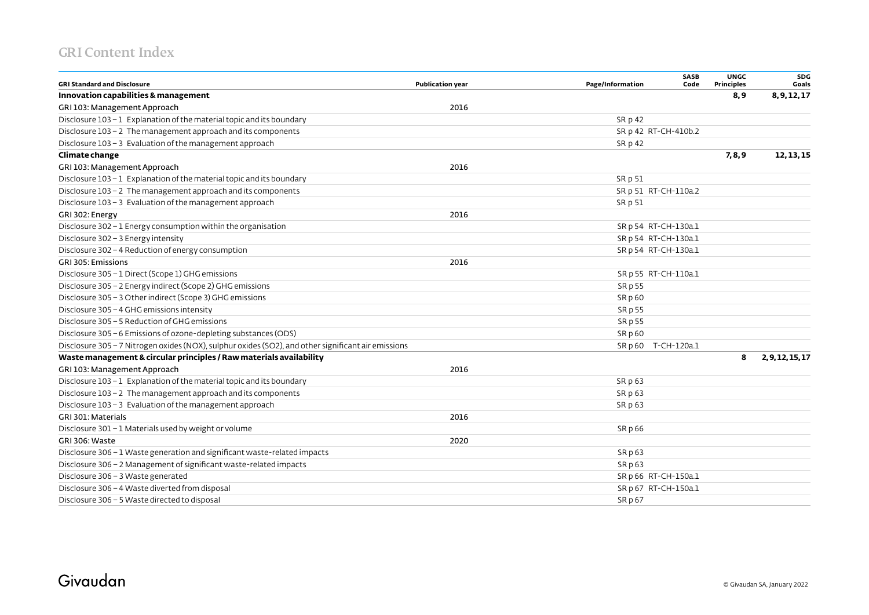| <b>GRI Standard and Disclosure</b>                                                                  | <b>Publication year</b> | Page/Information     | <b>SASB</b><br>Code | <b>UNGC</b><br><b>Principles</b> | SDG<br>Goals     |
|-----------------------------------------------------------------------------------------------------|-------------------------|----------------------|---------------------|----------------------------------|------------------|
| Innovation capabilities & management                                                                |                         |                      |                     | 8,9                              | 8, 9, 12, 17     |
| GRI 103: Management Approach                                                                        | 2016                    |                      |                     |                                  |                  |
| Disclosure $103 - 1$ Explanation of the material topic and its boundary                             |                         | SR p 42              |                     |                                  |                  |
| Disclosure 103 - 2 The management approach and its components                                       |                         | SR p 42 RT-CH-410b.2 |                     |                                  |                  |
| Disclosure 103 - 3 Evaluation of the management approach                                            |                         | SR p 42              |                     |                                  |                  |
| Climate change                                                                                      |                         |                      |                     | 7,8,9                            | 12, 13, 15       |
| GRI 103: Management Approach                                                                        | 2016                    |                      |                     |                                  |                  |
| Disclosure 103 - 1 Explanation of the material topic and its boundary                               |                         | SR p 51              |                     |                                  |                  |
| Disclosure 103 - 2 The management approach and its components                                       |                         | SR p 51 RT-CH-110a.2 |                     |                                  |                  |
| Disclosure 103 - 3 Evaluation of the management approach                                            |                         | SR p 51              |                     |                                  |                  |
| GRI 302: Energy                                                                                     | 2016                    |                      |                     |                                  |                  |
| Disclosure 302 - 1 Energy consumption within the organisation                                       |                         | SR p 54 RT-CH-130a.1 |                     |                                  |                  |
| Disclosure 302 - 3 Energy intensity                                                                 |                         | SR p 54 RT-CH-130a.1 |                     |                                  |                  |
| Disclosure 302 - 4 Reduction of energy consumption                                                  |                         | SR p 54 RT-CH-130a.1 |                     |                                  |                  |
| GRI 305: Emissions                                                                                  | 2016                    |                      |                     |                                  |                  |
| Disclosure 305 - 1 Direct (Scope 1) GHG emissions                                                   |                         | SR p 55 RT-CH-110a.1 |                     |                                  |                  |
| Disclosure 305 - 2 Energy indirect (Scope 2) GHG emissions                                          |                         | SR p 55              |                     |                                  |                  |
| Disclosure 305 - 3 Other indirect (Scope 3) GHG emissions                                           |                         | SR p 60              |                     |                                  |                  |
| Disclosure 305 - 4 GHG emissions intensity                                                          |                         | SR p 55              |                     |                                  |                  |
| Disclosure 305 - 5 Reduction of GHG emissions                                                       |                         | SR p 55              |                     |                                  |                  |
| Disclosure 305 - 6 Emissions of ozone-depleting substances (ODS)                                    |                         | SR p 60              |                     |                                  |                  |
| Disclosure 305 - 7 Nitrogen oxides (NOX), sulphur oxides (SO2), and other significant air emissions |                         | SR p 60 T-CH-120a.1  |                     |                                  |                  |
| Waste management & circular principles / Raw materials availability                                 |                         |                      |                     | 8                                | 2, 9, 12, 15, 17 |
| GRI 103: Management Approach                                                                        | 2016                    |                      |                     |                                  |                  |
| Disclosure 103 - 1 Explanation of the material topic and its boundary                               |                         | SR p 63              |                     |                                  |                  |
| Disclosure 103 - 2 The management approach and its components                                       |                         | SR p 63              |                     |                                  |                  |
| Disclosure 103 - 3 Evaluation of the management approach                                            |                         | SR p 63              |                     |                                  |                  |
| GRI 301: Materials                                                                                  | 2016                    |                      |                     |                                  |                  |
| Disclosure 301 - 1 Materials used by weight or volume                                               |                         | SR p 66              |                     |                                  |                  |
| GRI 306: Waste                                                                                      | 2020                    |                      |                     |                                  |                  |
| Disclosure 306 - 1 Waste generation and significant waste-related impacts                           |                         | SRp63                |                     |                                  |                  |
| Disclosure 306 - 2 Management of significant waste-related impacts                                  |                         | SR p 63              |                     |                                  |                  |
| Disclosure 306 - 3 Waste generated                                                                  |                         | SR p 66 RT-CH-150a.1 |                     |                                  |                  |
| Disclosure 306 - 4 Waste diverted from disposal                                                     |                         | SR p 67 RT-CH-150a.1 |                     |                                  |                  |
| Disclosure 306 - 5 Waste directed to disposal                                                       |                         | SR p 67              |                     |                                  |                  |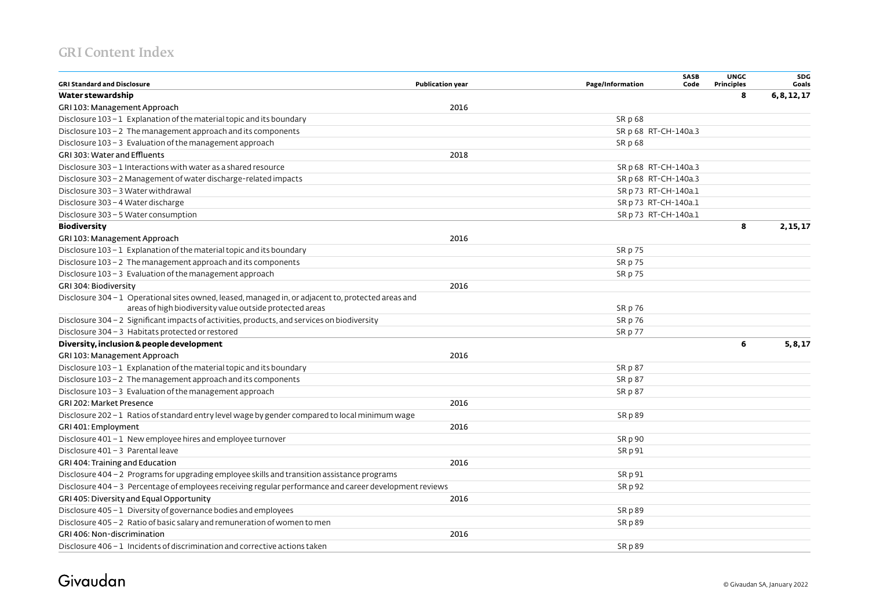| <b>GRI Standard and Disclosure</b>                                                                      | <b>Publication year</b> | Page/Information     | <b>SASB</b><br>Code | <b>UNGC</b><br><b>Principles</b> | <b>SDG</b><br>Goals |
|---------------------------------------------------------------------------------------------------------|-------------------------|----------------------|---------------------|----------------------------------|---------------------|
| Water stewardship                                                                                       |                         |                      |                     | 8                                | 6, 8, 12, 17        |
| GRI 103: Management Approach                                                                            | 2016                    |                      |                     |                                  |                     |
| Disclosure 103-1 Explanation of the material topic and its boundary                                     |                         | SR p 68              |                     |                                  |                     |
| Disclosure 103 - 2 The management approach and its components                                           |                         | SR p 68 RT-CH-140a.3 |                     |                                  |                     |
| Disclosure 103 - 3 Evaluation of the management approach                                                |                         | SR p 68              |                     |                                  |                     |
| GRI 303: Water and Effluents                                                                            | 2018                    |                      |                     |                                  |                     |
| Disclosure 303 - 1 Interactions with water as a shared resource                                         |                         | SR p 68 RT-CH-140a.3 |                     |                                  |                     |
| Disclosure 303 - 2 Management of water discharge-related impacts                                        |                         | SR p 68 RT-CH-140a.3 |                     |                                  |                     |
| Disclosure 303 - 3 Water withdrawal                                                                     |                         | SR p 73 RT-CH-140a.1 |                     |                                  |                     |
| Disclosure 303 - 4 Water discharge                                                                      |                         | SR p 73 RT-CH-140a.1 |                     |                                  |                     |
| Disclosure 303 - 5 Water consumption                                                                    |                         | SR p 73 RT-CH-140a.1 |                     |                                  |                     |
| <b>Biodiversity</b>                                                                                     |                         |                      |                     | 8                                | 2, 15, 17           |
| GRI 103: Management Approach                                                                            | 2016                    |                      |                     |                                  |                     |
| Disclosure 103-1 Explanation of the material topic and its boundary                                     |                         | SR p 75              |                     |                                  |                     |
| Disclosure 103 - 2 The management approach and its components                                           |                         | SR p 75              |                     |                                  |                     |
| Disclosure 103 - 3 Evaluation of the management approach                                                |                         | SR p 75              |                     |                                  |                     |
| GRI 304: Biodiversity                                                                                   | 2016                    |                      |                     |                                  |                     |
| Disclosure 304 - 1 Operational sites owned, leased, managed in, or adjacent to, protected areas and     |                         |                      |                     |                                  |                     |
| areas of high biodiversity value outside protected areas                                                |                         | SR p 76              |                     |                                  |                     |
| Disclosure 304 - 2 Significant impacts of activities, products, and services on biodiversity            |                         | SR p 76              |                     |                                  |                     |
| Disclosure 304 - 3 Habitats protected or restored                                                       |                         | SR p 77              |                     |                                  |                     |
| Diversity, inclusion & people development                                                               |                         |                      |                     | 6                                | 5, 8, 17            |
| GRI 103: Management Approach                                                                            | 2016                    |                      |                     |                                  |                     |
| Disclosure 103-1 Explanation of the material topic and its boundary                                     |                         | SR p 87              |                     |                                  |                     |
| Disclosure 103 - 2 The management approach and its components                                           |                         | SR p 87              |                     |                                  |                     |
| Disclosure 103 - 3 Evaluation of the management approach                                                |                         | SR p 87              |                     |                                  |                     |
| GRI 202: Market Presence                                                                                | 2016                    |                      |                     |                                  |                     |
| Disclosure 202-1 Ratios of standard entry level wage by gender compared to local minimum wage           |                         | SR p 89              |                     |                                  |                     |
| GRI 401: Employment                                                                                     | 2016                    |                      |                     |                                  |                     |
| Disclosure 401 - 1 New employee hires and employee turnover                                             |                         | SR p 90              |                     |                                  |                     |
| Disclosure 401 - 3 Parental leave                                                                       |                         | SR p 91              |                     |                                  |                     |
| GRI 404: Training and Education                                                                         | 2016                    |                      |                     |                                  |                     |
| Disclosure 404 - 2 Programs for upgrading employee skills and transition assistance programs            |                         | SR p 91              |                     |                                  |                     |
| Disclosure 404 - 3 Percentage of employees receiving regular performance and career development reviews |                         | SR p 92              |                     |                                  |                     |
| GRI 405: Diversity and Equal Opportunity                                                                | 2016                    |                      |                     |                                  |                     |
| Disclosure 405 - 1 Diversity of governance bodies and employees                                         |                         | <b>SRp89</b>         |                     |                                  |                     |
| Disclosure 405 - 2 Ratio of basic salary and remuneration of women to men                               |                         | SR p 89              |                     |                                  |                     |
| <b>GRI 406: Non-discrimination</b>                                                                      | 2016                    |                      |                     |                                  |                     |
| Disclosure $406 - 1$ Incidents of discrimination and corrective actions taken                           |                         | <b>SRD89</b>         |                     |                                  |                     |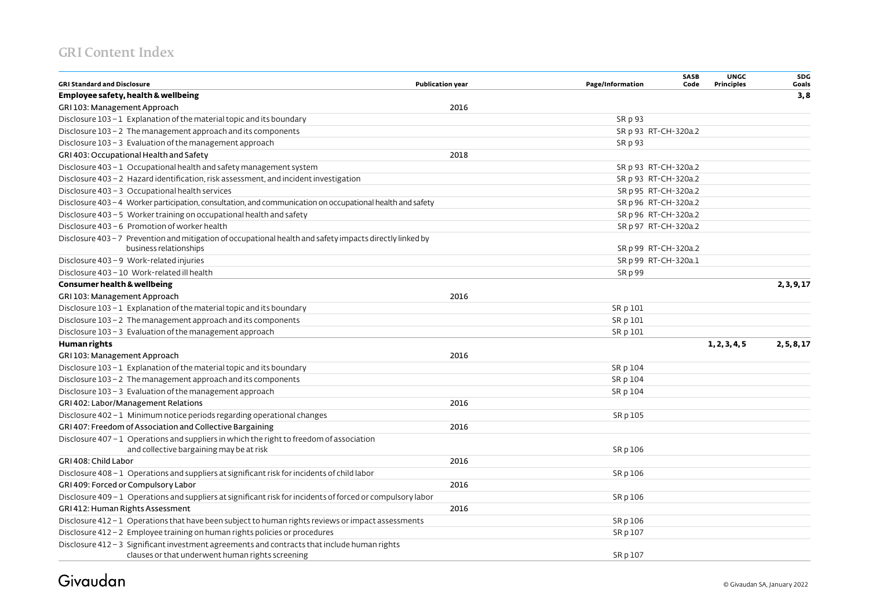| <b>GRI Standard and Disclosure</b>                                                                          | <b>Publication year</b> | Page/Information     | SASB<br>Code | <b>UNGC</b><br><b>Principles</b> | SDG<br>Goals |
|-------------------------------------------------------------------------------------------------------------|-------------------------|----------------------|--------------|----------------------------------|--------------|
| Employee safety, health & wellbeing                                                                         |                         |                      |              |                                  | 3,8          |
| GRI 103: Management Approach                                                                                | 2016                    |                      |              |                                  |              |
| Disclosure 103-1 Explanation of the material topic and its boundary                                         |                         | SR p 93              |              |                                  |              |
| Disclosure 103 - 2 The management approach and its components                                               |                         | SR p 93 RT-CH-320a.2 |              |                                  |              |
| Disclosure 103 - 3 Evaluation of the management approach                                                    |                         | SR p 93              |              |                                  |              |
| GRI 403: Occupational Health and Safety                                                                     | 2018                    |                      |              |                                  |              |
| Disclosure 403 - 1 Occupational health and safety management system                                         |                         | SR p 93 RT-CH-320a.2 |              |                                  |              |
| Disclosure 403 - 2 Hazard identification, risk assessment, and incident investigation                       |                         | SR p 93 RT-CH-320a.2 |              |                                  |              |
| Disclosure 403 - 3 Occupational health services                                                             |                         | SR p 95 RT-CH-320a.2 |              |                                  |              |
| Disclosure 403-4 Worker participation, consultation, and communication on occupational health and safety    |                         | SR p 96 RT-CH-320a.2 |              |                                  |              |
| Disclosure 403 - 5 Worker training on occupational health and safety                                        |                         | SR p 96 RT-CH-320a.2 |              |                                  |              |
| Disclosure 403 - 6 Promotion of worker health                                                               |                         | SR p 97 RT-CH-320a.2 |              |                                  |              |
| Disclosure 403-7 Prevention and mitigation of occupational health and safety impacts directly linked by     |                         |                      |              |                                  |              |
| business relationships                                                                                      |                         | SR p 99 RT-CH-320a.2 |              |                                  |              |
| Disclosure 403 - 9 Work-related injuries                                                                    |                         | SR p 99 RT-CH-320a.1 |              |                                  |              |
| Disclosure 403 - 10 Work-related ill health                                                                 |                         | SR p 99              |              |                                  |              |
| <b>Consumer health &amp; wellbeing</b>                                                                      |                         |                      |              |                                  | 2, 3, 9, 17  |
| GRI 103: Management Approach                                                                                | 2016                    |                      |              |                                  |              |
| Disclosure $103 - 1$ Explanation of the material topic and its boundary                                     |                         | SR p 101             |              |                                  |              |
| Disclosure 103 - 2 The management approach and its components                                               |                         | SR p 101             |              |                                  |              |
| Disclosure 103 - 3 Evaluation of the management approach                                                    |                         | SR p 101             |              |                                  |              |
| Human rights                                                                                                |                         |                      |              | 1, 2, 3, 4, 5                    | 2, 5, 8, 17  |
| GRI 103: Management Approach                                                                                | 2016                    |                      |              |                                  |              |
| Disclosure $103 - 1$ Explanation of the material topic and its boundary                                     |                         | SR p 104             |              |                                  |              |
| Disclosure 103 - 2 The management approach and its components                                               |                         | SR p 104             |              |                                  |              |
| Disclosure 103 - 3 Evaluation of the management approach                                                    |                         | SR p 104             |              |                                  |              |
| GRI 402: Labor/Management Relations                                                                         | 2016                    |                      |              |                                  |              |
| Disclosure 402 - 1 Minimum notice periods regarding operational changes                                     |                         | SR p 105             |              |                                  |              |
| GRI 407: Freedom of Association and Collective Bargaining                                                   | 2016                    |                      |              |                                  |              |
| Disclosure 407 - 1 Operations and suppliers in which the right to freedom of association                    |                         |                      |              |                                  |              |
| and collective bargaining may be at risk                                                                    |                         | SR p 106             |              |                                  |              |
| GRI 408: Child Labor                                                                                        | 2016                    |                      |              |                                  |              |
| Disclosure 408 - 1 Operations and suppliers at significant risk for incidents of child labor                |                         | SR p 106             |              |                                  |              |
| GRI 409: Forced or Compulsory Labor                                                                         | 2016                    |                      |              |                                  |              |
| Disclosure 409 - 1 Operations and suppliers at significant risk for incidents of forced or compulsory labor |                         | SR p 106             |              |                                  |              |
| GRI 412: Human Rights Assessment                                                                            | 2016                    |                      |              |                                  |              |
| Disclosure 412 - 1 Operations that have been subject to human rights reviews or impact assessments          |                         | SR p 106             |              |                                  |              |
| Disclosure 412 - 2 Employee training on human rights policies or procedures                                 |                         | SR p 107             |              |                                  |              |
| Disclosure 412-3 Significant investment agreements and contracts that include human rights                  |                         |                      |              |                                  |              |
| clauses or that underwent human rights screening                                                            |                         | SR p 107             |              |                                  |              |